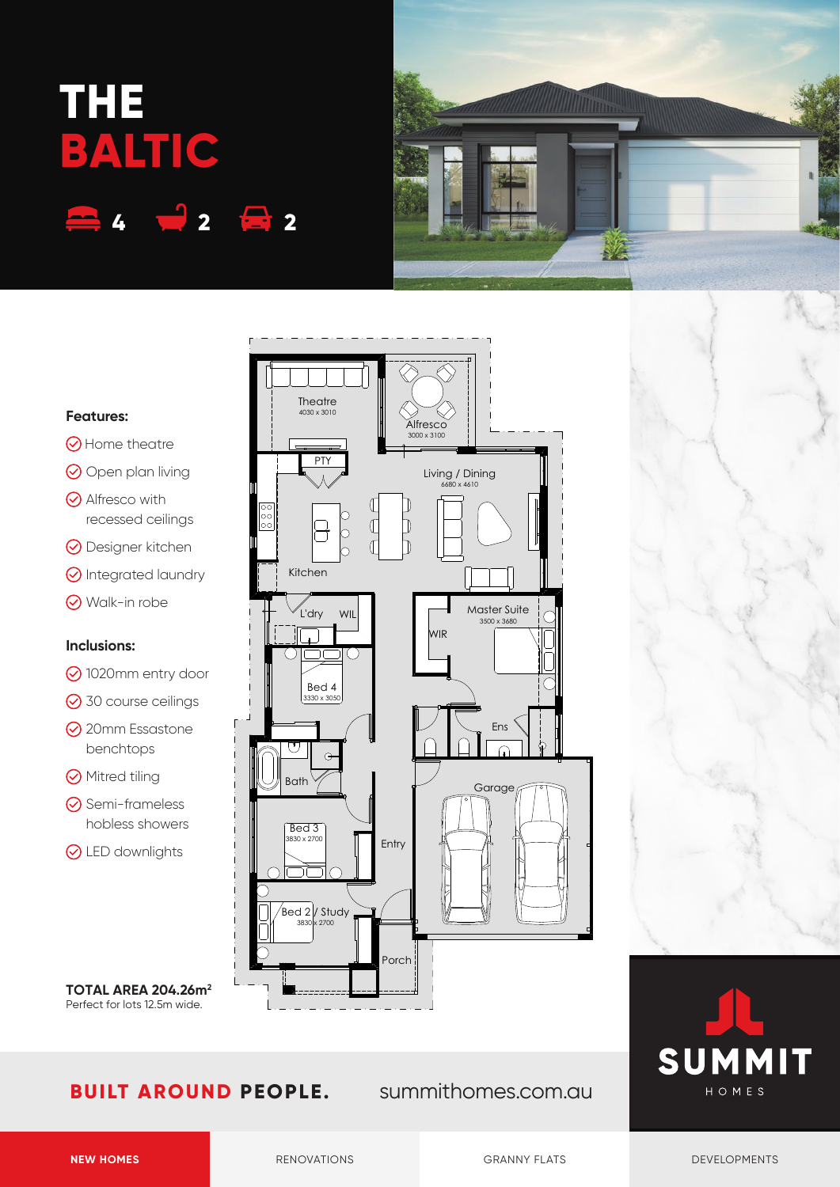# **THE BALTIC 4 2 2**



## **Theatre** 4030 x 3010 **Alfresco** 3000 x 3100 **PTY** Living / Dining 6680 x 4610  $\mathbb{C}$  $\mathbb{C}$ D  $\circ$ h Kitchen Master Suite L'dry WIL 3500 x 368 WIR  $\sqrt{2}$ ٦ſ ٦ Bed 4 3330 x 3050 Ens  $\subset$  $\odot$ Bath Garage Bed 3  $30 \times 270$ Entry  $\sqrt{\frac{1}{100}}$  Study 3830 x 2700 Porch

## **Features:**

- **⊙** Home theatre
- O Open plan living
- $\odot$  Alfresco with recessed ceilings
- **⊙** Designer kitchen
- **O** Integrated laundry
- Walk-in robe

# **Inclusions:**

- **⊙**1020mm entry door
- **⊙** 30 course ceilings
- **⊙** 20mm Essastone benchtops
- **⊙** Mitred tiling
- **⊙** Semi-frameless hobless showers
- **⊙** LED downlights

**TOTAL AREA 204.26m2** Perfect for lots 12.5m wide.

# **BUILT AROUND PEOPLE.** summithomes.com.au